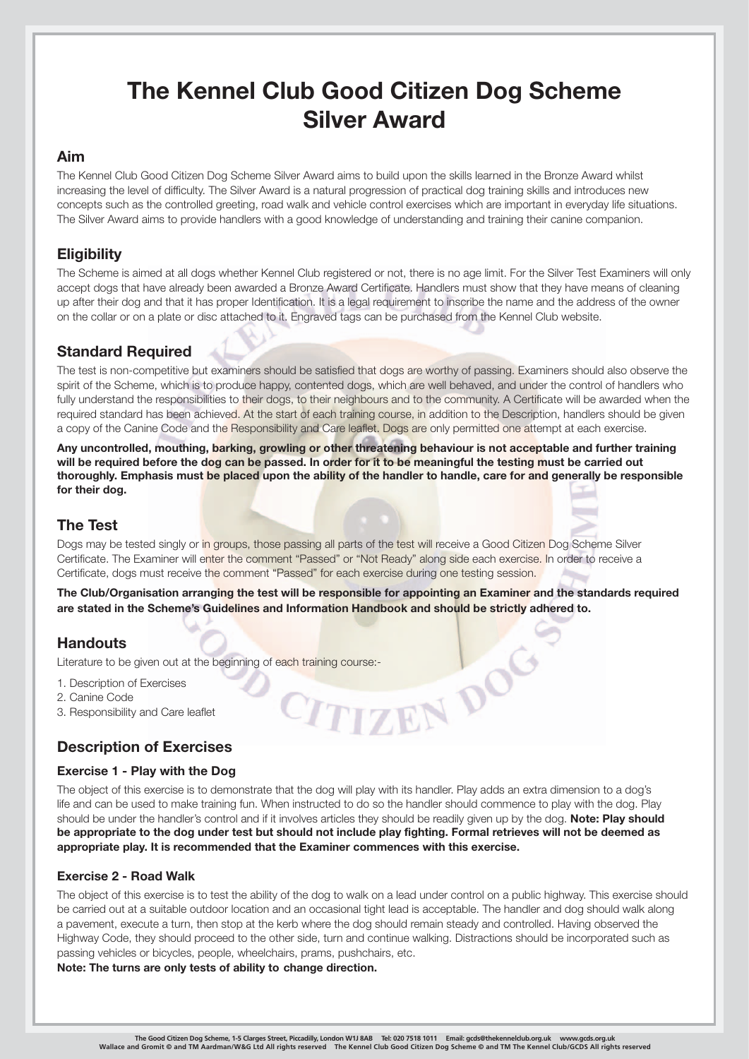# **The Kennel Club Good Citizen Dog Scheme Silver Award**

### **Aim**

The Kennel Club Good Citizen Dog Scheme Silver Award aims to build upon the skills learned in the Bronze Award whilst increasing the level of difficulty. The Silver Award is a natural progression of practical dog training skills and introduces new concepts such as the controlled greeting, road walk and vehicle control exercises which are important in everyday life situations. The Silver Award aims to provide handlers with a good knowledge of understanding and training their canine companion.

## **Eligibility**

The Scheme is aimed at all dogs whether Kennel Club registered or not, there is no age limit. For the Silver Test Examiners will only accept dogs that have already been awarded a Bronze Award Certificate. Handlers must show that they have means of cleaning up after their dog and that it has proper Identification. It is a legal requirement to inscribe the name and the address of the owner on the collar or on a plate or disc attached to it. Engraved tags can be purchased from the Kennel Club website.

## **Standard Required**

The test is non-competitive but examiners should be satisfied that dogs are worthy of passing. Examiners should also observe the spirit of the Scheme, which is to produce happy, contented dogs, which are well behaved, and under the control of handlers who fully understand the responsibilities to their dogs, to their neighbours and to the community. A Certificate will be awarded when the required standard has been achieved. At the start of each training course, in addition to the Description, handlers should be given a copy of the Canine Code and the Responsibility and Care leaflet. Dogs are only permitted one attempt at each exercise.

**Any uncontrolled, mouthing, barking, growling or other threatening behaviour is not acceptable and further training**  will be required before the dog can be passed. In order for it to be meaningful the testing must be carried out **thoroughly. Emphasis must be placed upon the ability of the handler to handle, care for and generally be responsible for their dog.**

## **The Test**

Dogs may be tested singly or in groups, those passing all parts of the test will receive a Good Citizen Dog Scheme Silver Certificate. The Examiner will enter the comment "Passed" or "Not Ready" along side each exercise. In order to receive a Certificate, dogs must receive the comment "Passed" for each exercise during one testing session.

**The Club/Organisation arranging the test will be responsible for appointing an Examiner and the standards required are stated in the Scheme's Guidelines and Information Handbook and should be strictly adhered to.**

## **Handouts**

Literature to be given out at the beginning of each training course:-<br>1. Description of Exercises<br>2. Canine Code<br>3. Responsibility and Care leaflet<br>**Description of Exercises** 

- 1. Description of Exercises
- 2. Canine Code
- 3. Responsibility and Care leaflet

## **Description of Exercises**

#### **Exercise 1 - Play with the Dog**

The object of this exercise is to demonstrate that the dog will play with its handler. Play adds an extra dimension to a dog's life and can be used to make training fun. When instructed to do so the handler should commence to play with the dog. Play should be under the handler's control and if it involves articles they should be readily given up by the dog. **Note: Play should be appropriate to the dog under test but should not include play fighting. Formal retrieves will not be deemed as appropriate play. It is recommended that the Examiner commences with this exercise.**

#### **Exercise 2 - Road Walk**

The object of this exercise is to test the ability of the dog to walk on a lead under control on a public highway. This exercise should be carried out at a suitable outdoor location and an occasional tight lead is acceptable. The handler and dog should walk along a pavement, execute a turn, then stop at the kerb where the dog should remain steady and controlled. Having observed the Highway Code, they should proceed to the other side, turn and continue walking. Distractions should be incorporated such as passing vehicles or bicycles, people, wheelchairs, prams, pushchairs, etc.

**Note: The turns are only tests of ability to change direction.**